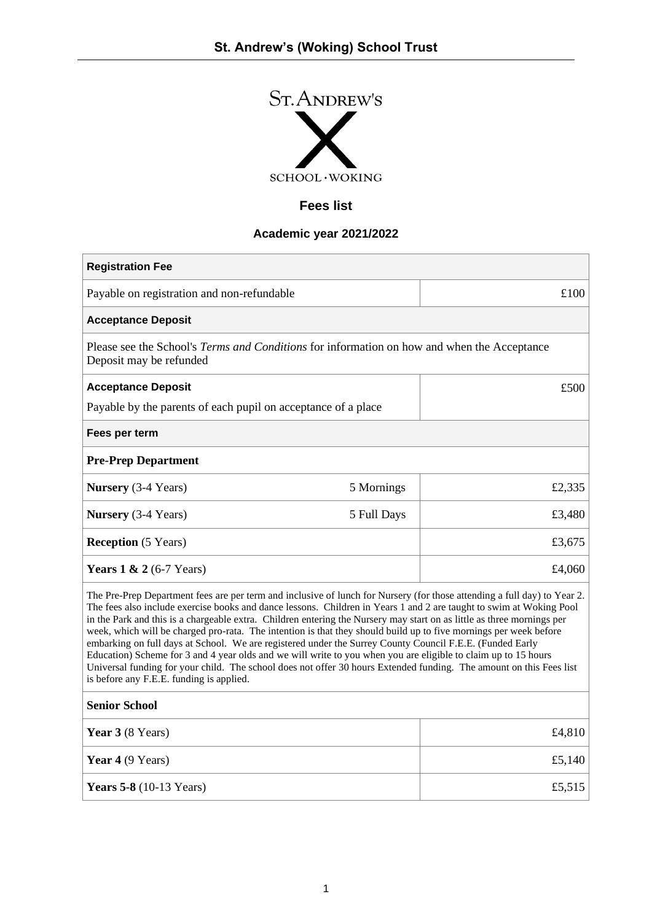

# **Fees list**

## **Academic year 2021/2022**

| <b>Registration Fee</b>                                                                                                                                                                                                                                                                                                                                                                                                                                                                                                                                                                                                                                                                                                                                                                                                                                                                         |             |        |
|-------------------------------------------------------------------------------------------------------------------------------------------------------------------------------------------------------------------------------------------------------------------------------------------------------------------------------------------------------------------------------------------------------------------------------------------------------------------------------------------------------------------------------------------------------------------------------------------------------------------------------------------------------------------------------------------------------------------------------------------------------------------------------------------------------------------------------------------------------------------------------------------------|-------------|--------|
| Payable on registration and non-refundable                                                                                                                                                                                                                                                                                                                                                                                                                                                                                                                                                                                                                                                                                                                                                                                                                                                      |             | £100   |
| <b>Acceptance Deposit</b>                                                                                                                                                                                                                                                                                                                                                                                                                                                                                                                                                                                                                                                                                                                                                                                                                                                                       |             |        |
| Please see the School's Terms and Conditions for information on how and when the Acceptance<br>Deposit may be refunded                                                                                                                                                                                                                                                                                                                                                                                                                                                                                                                                                                                                                                                                                                                                                                          |             |        |
| <b>Acceptance Deposit</b>                                                                                                                                                                                                                                                                                                                                                                                                                                                                                                                                                                                                                                                                                                                                                                                                                                                                       |             | £500   |
| Payable by the parents of each pupil on acceptance of a place                                                                                                                                                                                                                                                                                                                                                                                                                                                                                                                                                                                                                                                                                                                                                                                                                                   |             |        |
| Fees per term                                                                                                                                                                                                                                                                                                                                                                                                                                                                                                                                                                                                                                                                                                                                                                                                                                                                                   |             |        |
| <b>Pre-Prep Department</b>                                                                                                                                                                                                                                                                                                                                                                                                                                                                                                                                                                                                                                                                                                                                                                                                                                                                      |             |        |
| <b>Nursery</b> (3-4 Years)                                                                                                                                                                                                                                                                                                                                                                                                                                                                                                                                                                                                                                                                                                                                                                                                                                                                      | 5 Mornings  | £2,335 |
| <b>Nursery</b> (3-4 Years)                                                                                                                                                                                                                                                                                                                                                                                                                                                                                                                                                                                                                                                                                                                                                                                                                                                                      | 5 Full Days | £3,480 |
| <b>Reception</b> (5 Years)                                                                                                                                                                                                                                                                                                                                                                                                                                                                                                                                                                                                                                                                                                                                                                                                                                                                      |             | £3,675 |
| Years $1 \& 2 (6-7 \text{ Years})$                                                                                                                                                                                                                                                                                                                                                                                                                                                                                                                                                                                                                                                                                                                                                                                                                                                              |             | £4,060 |
| The Pre-Prep Department fees are per term and inclusive of lunch for Nursery (for those attending a full day) to Year 2.<br>The fees also include exercise books and dance lessons. Children in Years 1 and 2 are taught to swim at Woking Pool<br>in the Park and this is a chargeable extra. Children entering the Nursery may start on as little as three mornings per<br>week, which will be charged pro-rata. The intention is that they should build up to five mornings per week before<br>embarking on full days at School. We are registered under the Surrey County Council F.E.E. (Funded Early<br>Education) Scheme for 3 and 4 year olds and we will write to you when you are eligible to claim up to 15 hours<br>Universal funding for your child. The school does not offer 30 hours Extended funding. The amount on this Fees list<br>is before any F.E.E. funding is applied. |             |        |
| <b>Senior School</b>                                                                                                                                                                                                                                                                                                                                                                                                                                                                                                                                                                                                                                                                                                                                                                                                                                                                            |             |        |
| Year 3 (8 Years)                                                                                                                                                                                                                                                                                                                                                                                                                                                                                                                                                                                                                                                                                                                                                                                                                                                                                |             | £4,810 |
| Year 4 (9 Years)                                                                                                                                                                                                                                                                                                                                                                                                                                                                                                                                                                                                                                                                                                                                                                                                                                                                                |             | £5,140 |
| <b>Years 5-8</b> (10-13 Years)                                                                                                                                                                                                                                                                                                                                                                                                                                                                                                                                                                                                                                                                                                                                                                                                                                                                  |             | £5,515 |